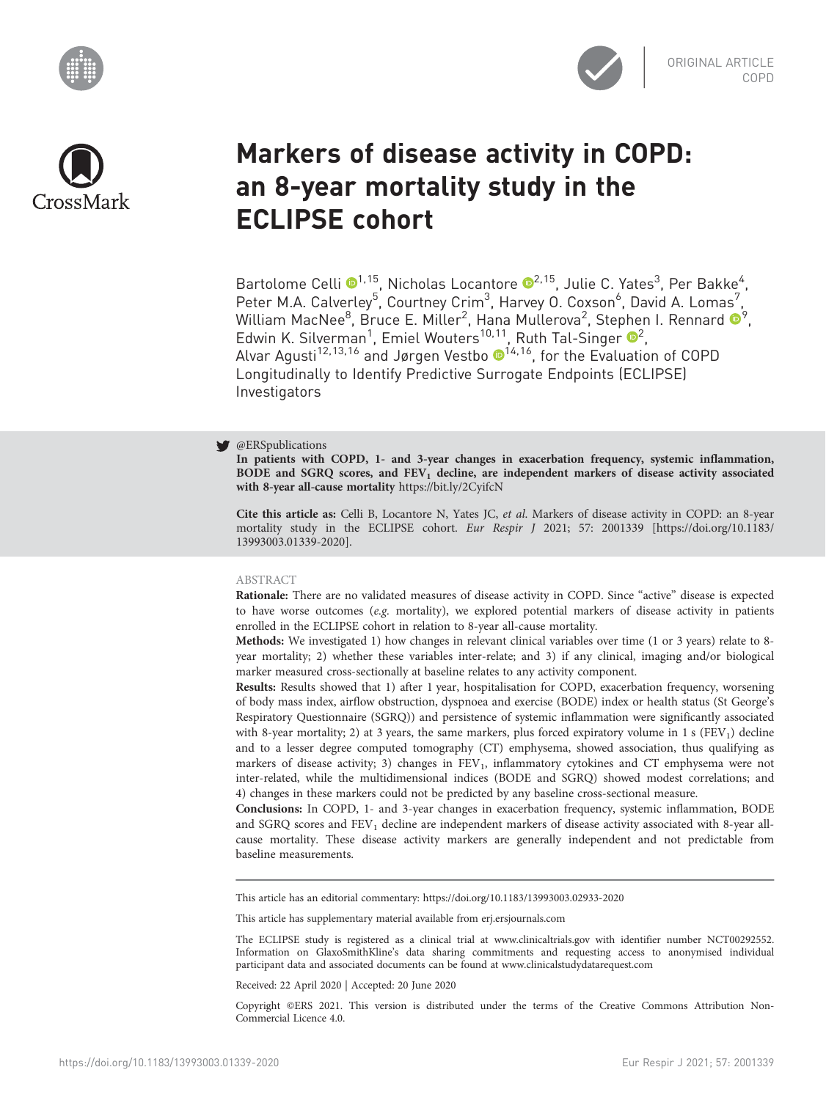





# Markers of disease activity in COPD: an 8-year mortality study in the ECLIPSE cohort

Bartolome Celli <sup>®[1](https://orcid.org/0000-0002-7266-8371),15</sup>, Nicholas Locantore <sup>®2,15</sup>, Julie C. Yates<sup>3</sup>, Per Bakke<sup>4</sup>, Peter M.A. Calverley<sup>5</sup>, Courtney Crim<sup>3</sup>, Harvey O. Coxson<sup>6</sup>, David A. Lomas<sup>7</sup>, William MacNee $^8$ , Bruce E. Miller $^2$ , Hana Mullerova $^2$ , Stephen I. Rennard  $\mathbf{O}^9$ , Edwin K. Silverman<sup>1</sup>, Emiel Wouters<sup>10,11</sup>, Ruth Tal-Singer <sup>®</sup>, Alvar Agusti<sup>[1](https://orcid.org/0000-0001-6355-6362)2,13,16</sup> and Jørgen Vestbo ®<sup>14,16</sup>, for the Evaluation of COPD Longitudinally to Identify Predictive Surrogate Endpoints (ECLIPSE) Investigators

# **@ERSpublications**

In patients with COPD, 1- and 3-year changes in exacerbation frequency, systemic inflammation, BODE and SGRQ scores, and  $FEV<sub>1</sub>$  decline, are independent markers of disease activity associated with 8-year all-cause mortality <https://bit.ly/2CyifcN>

Cite this article as: Celli B, Locantore N, Yates JC, et al. Markers of disease activity in COPD: an 8-year mortality study in the ECLIPSE cohort. Eur Respir J 2021; 57: 2001339 [\[https://doi.org/10.1183/](https://doi.org/10.1183/13993003.01339-2020) [13993003.01339-2020\].](https://doi.org/10.1183/13993003.01339-2020)

# ABSTRACT

Rationale: There are no validated measures of disease activity in COPD. Since "active" disease is expected to have worse outcomes (e.g. mortality), we explored potential markers of disease activity in patients enrolled in the ECLIPSE cohort in relation to 8-year all-cause mortality.

Methods: We investigated 1) how changes in relevant clinical variables over time (1 or 3 years) relate to 8 year mortality; 2) whether these variables inter-relate; and 3) if any clinical, imaging and/or biological marker measured cross-sectionally at baseline relates to any activity component.

Results: Results showed that 1) after 1 year, hospitalisation for COPD, exacerbation frequency, worsening of body mass index, airflow obstruction, dyspnoea and exercise (BODE) index or health status (St George's Respiratory Questionnaire (SGRQ)) and persistence of systemic inflammation were significantly associated with 8-year mortality; 2) at 3 years, the same markers, plus forced expiratory volume in 1 s (FEV<sub>1</sub>) decline and to a lesser degree computed tomography (CT) emphysema, showed association, thus qualifying as markers of disease activity; 3) changes in FEV<sub>1</sub>, inflammatory cytokines and CT emphysema were not inter-related, while the multidimensional indices (BODE and SGRQ) showed modest correlations; and 4) changes in these markers could not be predicted by any baseline cross-sectional measure.

Conclusions: In COPD, 1- and 3-year changes in exacerbation frequency, systemic inflammation, BODE and SGRQ scores and  $FEV<sub>1</sub>$  decline are independent markers of disease activity associated with 8-year allcause mortality. These disease activity markers are generally independent and not predictable from baseline measurements.

This article has an editorial commentary:<https://doi.org/10.1183/13993003.02933-2020>

This article has supplementary material available from<erj.ersjournals.com>

The ECLIPSE study is registered as a clinical trial at [www.clinicaltrials.gov](http://www.clinicaltrials.gov) with identifier number NCT00292552. Information on GlaxoSmithKline's data sharing commitments and requesting access to anonymised individual participant data and associated documents can be found at [www.clinicalstudydatarequest.com](http://www.clinicalstudydatarequest.com)

Received: 22 April 2020 | Accepted: 20 June 2020

Copyright ©ERS 2021. This version is distributed under the terms of the Creative Commons Attribution Non-Commercial Licence 4.0.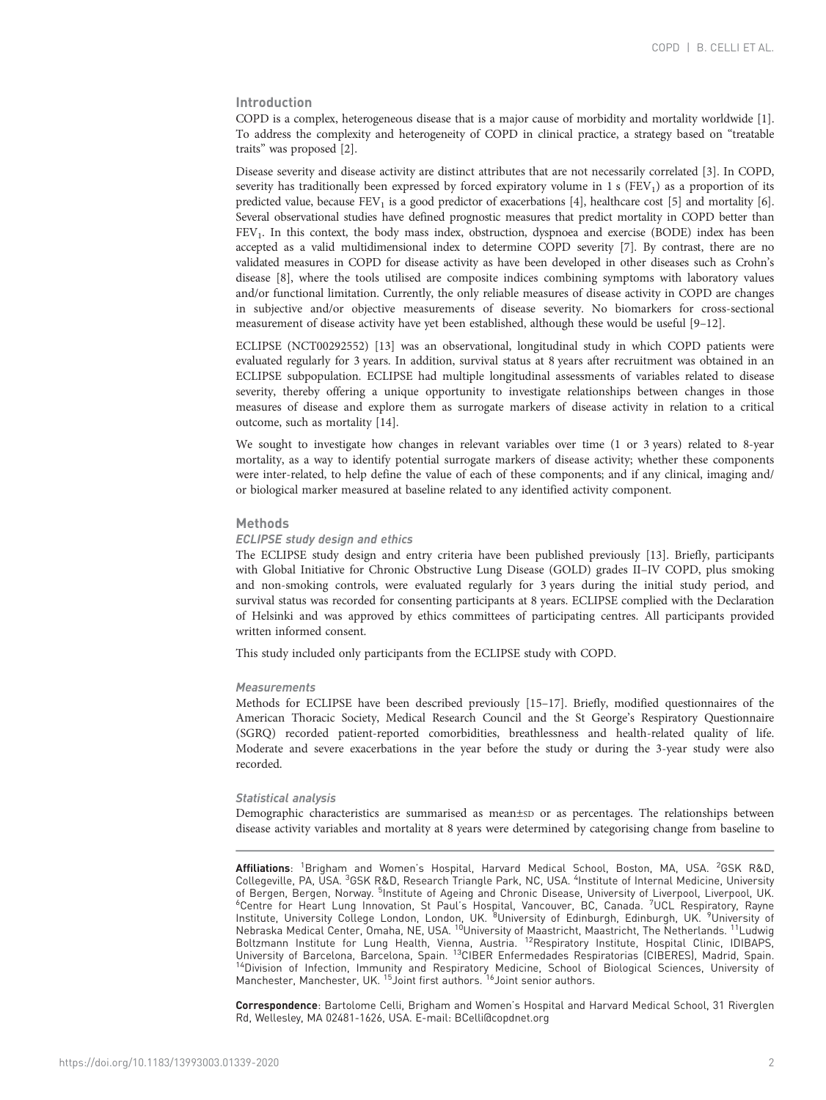# Introduction

COPD is a complex, heterogeneous disease that is a major cause of morbidity and mortality worldwide [\[1](#page-10-0)]. To address the complexity and heterogeneity of COPD in clinical practice, a strategy based on "treatable traits" was proposed [\[2\]](#page-10-0).

Disease severity and disease activity are distinct attributes that are not necessarily correlated [[3\]](#page-10-0). In COPD, severity has traditionally been expressed by forced expiratory volume in 1 s ( $FEV<sub>1</sub>$ ) as a proportion of its predicted value, because FEV<sub>1</sub> is a good predictor of exacerbations [[4](#page-10-0)], healthcare cost [[5\]](#page-10-0) and mortality [\[6](#page-10-0)]. Several observational studies have defined prognostic measures that predict mortality in COPD better than FEV<sub>1</sub>. In this context, the body mass index, obstruction, dyspnoea and exercise (BODE) index has been accepted as a valid multidimensional index to determine COPD severity [\[7](#page-10-0)]. By contrast, there are no validated measures in COPD for disease activity as have been developed in other diseases such as Crohn's disease [\[8](#page-10-0)], where the tools utilised are composite indices combining symptoms with laboratory values and/or functional limitation. Currently, the only reliable measures of disease activity in COPD are changes in subjective and/or objective measurements of disease severity. No biomarkers for cross-sectional measurement of disease activity have yet been established, although these would be useful [\[9](#page-10-0)–[12](#page-10-0)].

ECLIPSE (NCT00292552) [\[13\]](#page-10-0) was an observational, longitudinal study in which COPD patients were evaluated regularly for 3 years. In addition, survival status at 8 years after recruitment was obtained in an ECLIPSE subpopulation. ECLIPSE had multiple longitudinal assessments of variables related to disease severity, thereby offering a unique opportunity to investigate relationships between changes in those measures of disease and explore them as surrogate markers of disease activity in relation to a critical outcome, such as mortality [[14\]](#page-10-0).

We sought to investigate how changes in relevant variables over time (1 or 3 years) related to 8-year mortality, as a way to identify potential surrogate markers of disease activity; whether these components were inter-related, to help define the value of each of these components; and if any clinical, imaging and/ or biological marker measured at baseline related to any identified activity component.

#### **Methods**

#### ECLIPSE study design and ethics

The ECLIPSE study design and entry criteria have been published previously [[13](#page-10-0)]. Briefly, participants with Global Initiative for Chronic Obstructive Lung Disease (GOLD) grades II–IV COPD, plus smoking and non-smoking controls, were evaluated regularly for 3 years during the initial study period, and survival status was recorded for consenting participants at 8 years. ECLIPSE complied with the Declaration of Helsinki and was approved by ethics committees of participating centres. All participants provided written informed consent.

This study included only participants from the ECLIPSE study with COPD.

## **Measurements**

Methods for ECLIPSE have been described previously [\[15](#page-10-0)–[17](#page-11-0)]. Briefly, modified questionnaires of the American Thoracic Society, Medical Research Council and the St George's Respiratory Questionnaire (SGRQ) recorded patient-reported comorbidities, breathlessness and health-related quality of life. Moderate and severe exacerbations in the year before the study or during the 3-year study were also recorded.

## Statistical analysis

Demographic characteristics are summarised as mean±sp or as percentages. The relationships between disease activity variables and mortality at 8 years were determined by categorising change from baseline to

Correspondence: Bartolome Celli, Brigham and Women's Hospital and Harvard Medical School, 31 Riverglen Rd, Wellesley, MA 02481-1626, USA. E-mail: [BCelli@copdnet.org](mailto:BCelli@copdnet.org)

Affiliations: <sup>1</sup>Brigham and Women's Hospital, Harvard Medical School, Boston, MA, USA. <sup>2</sup>GSK R&D, Collegeville, PA, USA. <sup>3</sup>GSK R&D, Research Triangle Park, NC, USA. <sup>4</sup>Institute of Internal Medicine, University of Bergen, Bergen, Norway. <sup>5</sup>Institute of Ageing and Chronic Disease, University of Liverpool, Liverpool, UK. of Bergen, Bergen, Norway. <sup>5</sup>Institute of Ageing and Chronic Disease, University of Liverpool, Liverpool, UK.<br><sup>6</sup>Centre for Heart Lung Innovation, St Paul's Hospital, Vancouver, BC, Canada. <sup>7</sup>UCL Respiratory, Rayne<br>Insti Boltzmann Institute for Lung Health, Vienna, Austria. <sup>12</sup>Respiratory Institute, Hospital Clinic, IDIBAPS, University of Barcelona, Barcelona, Spain. <sup>13</sup>CIBER Enfermedades Respiratorias (CIBERES), Madrid, Spain.<br><sup>14</sup>Division of Infection, Immunity and Respiratory Medicine, School of Biological Sciences, University of Manchester, Manchester, UK. <sup>15</sup> Joint first authors. <sup>16</sup> Joint senior authors.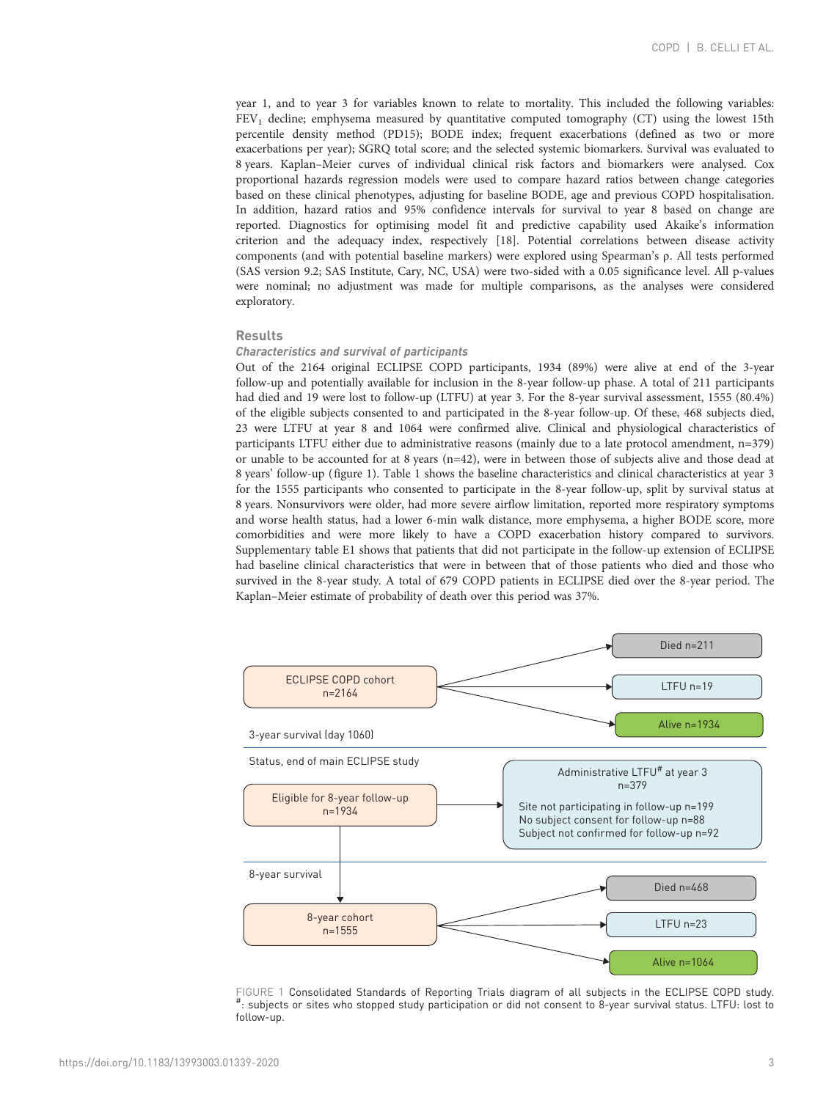year 1, and to year 3 for variables known to relate to mortality. This included the following variables: FEV1 decline; emphysema measured by quantitative computed tomography (CT) using the lowest 15th percentile density method (PD15); BODE index; frequent exacerbations (defined as two or more exacerbations per year); SGRQ total score; and the selected systemic biomarkers. Survival was evaluated to 8 years. Kaplan–Meier curves of individual clinical risk factors and biomarkers were analysed. Cox proportional hazards regression models were used to compare hazard ratios between change categories based on these clinical phenotypes, adjusting for baseline BODE, age and previous COPD hospitalisation. In addition, hazard ratios and 95% confidence intervals for survival to year 8 based on change are reported. Diagnostics for optimising model fit and predictive capability used Akaike's information criterion and the adequacy index, respectively [[18](#page-11-0)]. Potential correlations between disease activity components (and with potential baseline markers) were explored using Spearman's ρ. All tests performed (SAS version 9.2; SAS Institute, Cary, NC, USA) were two-sided with a 0.05 significance level. All p-values were nominal; no adjustment was made for multiple comparisons, as the analyses were considered exploratory.

## Results

# Characteristics and survival of participants

Out of the 2164 original ECLIPSE COPD participants, 1934 (89%) were alive at end of the 3-year follow-up and potentially available for inclusion in the 8-year follow-up phase. A total of 211 participants had died and 19 were lost to follow-up (LTFU) at year 3. For the 8-year survival assessment, 1555 (80.4%) of the eligible subjects consented to and participated in the 8-year follow-up. Of these, 468 subjects died, 23 were LTFU at year 8 and 1064 were confirmed alive. Clinical and physiological characteristics of participants LTFU either due to administrative reasons (mainly due to a late protocol amendment, n=379) or unable to be accounted for at 8 years (n=42), were in between those of subjects alive and those dead at 8 years' follow-up (figure 1). [Table 1](#page-3-0) shows the baseline characteristics and clinical characteristics at year 3 for the 1555 participants who consented to participate in the 8-year follow-up, split by survival status at 8 years. Nonsurvivors were older, had more severe airflow limitation, reported more respiratory symptoms and worse health status, had a lower 6-min walk distance, more emphysema, a higher BODE score, more comorbidities and were more likely to have a COPD exacerbation history compared to survivors. [Supplementary table E1](http://erj.ersjournals.com/lookup/doi/10.1183/13993003.01339-2020.figures-only#fig-data-supplementary-materials) shows that patients that did not participate in the follow-up extension of ECLIPSE had baseline clinical characteristics that were in between that of those patients who died and those who survived in the 8-year study. A total of 679 COPD patients in ECLIPSE died over the 8-year period. The Kaplan–Meier estimate of probability of death over this period was 37%.



FIGURE 1 Consolidated Standards of Reporting Trials diagram of all subjects in the ECLIPSE COPD study. : subjects or sites who stopped study participation or did not consent to 8-year survival status. LTFU: lost to follow-up.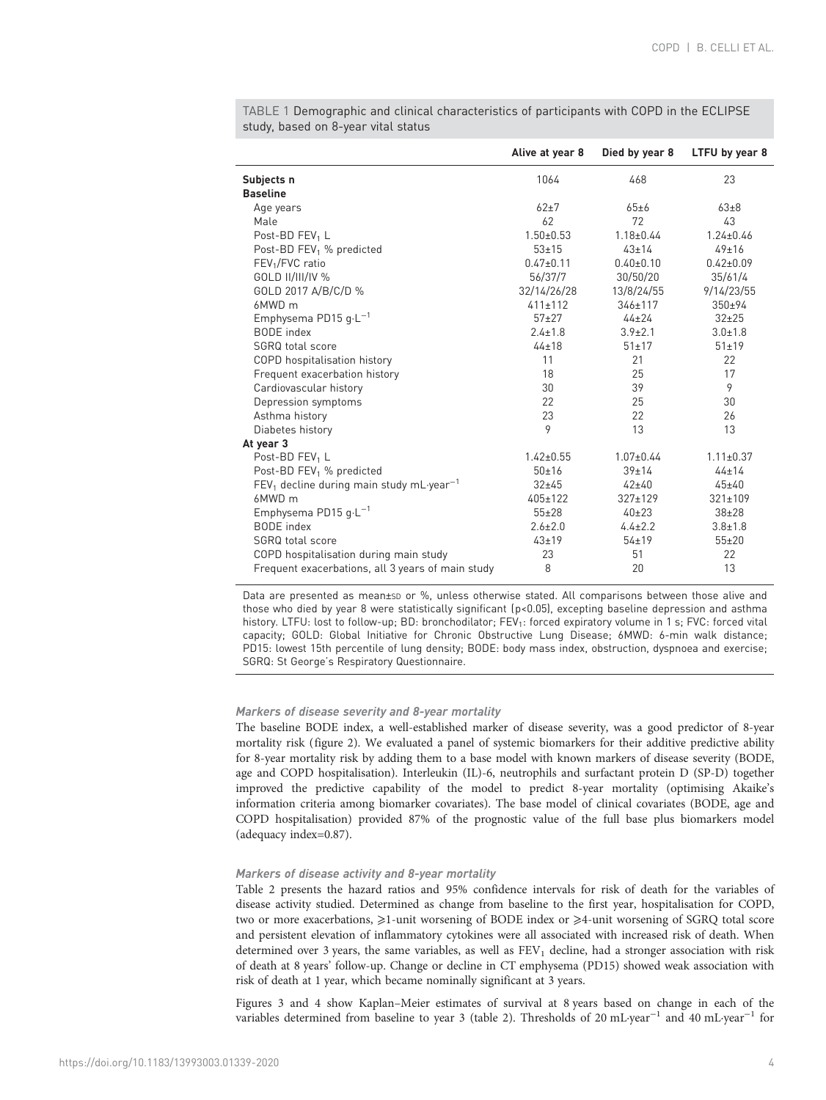|                                                        | Alive at year 8 | Died by year 8  | LTFU by year 8  |
|--------------------------------------------------------|-----------------|-----------------|-----------------|
| Subjects n                                             | 1064            | 468             | 23              |
| <b>Baseline</b>                                        |                 |                 |                 |
| Age years                                              | $62\pm7$        | 65±6            | $63\pm8$        |
| Male                                                   | 62              | 72              | 43              |
| Post-BD FEV <sub>1</sub> L                             | $1.50 \pm 0.53$ | $1.18 \pm 0.44$ | $1.24 \pm 0.46$ |
| Post-BD FEV <sub>1</sub> % predicted                   | $53 + 15$       | $43 \pm 14$     | 49±16           |
| FEV <sub>1</sub> /FVC ratio                            | $0.47 \pm 0.11$ | $0.40 \pm 0.10$ | $0.42 \pm 0.09$ |
| GOLD II/III/IV %                                       | 56/37/7         | 30/50/20        | 35/61/4         |
| GOLD 2017 A/B/C/D %                                    | 32/14/26/28     | 13/8/24/55      | 9/14/23/55      |
| 6MWD m                                                 | $411 \pm 112$   | $346 \pm 117$   | $350+94$        |
| Emphysema PD15 $g \cdot L^{-1}$                        | $57+27$         | $44 + 24$       | $32 + 25$       |
| BODE index                                             | $2.4 \pm 1.8$   | $3.9 \pm 2.1$   | $3.0 \pm 1.8$   |
| SGRQ total score                                       | $44 + 18$       | $51 \pm 17$     | $51 \pm 19$     |
| COPD hospitalisation history                           | 11              | 21              | 22              |
| Frequent exacerbation history                          | 18              | 25              | 17              |
| Cardiovascular history                                 | 30              | 39              | 9               |
| Depression symptoms                                    | 22              | 25              | 30              |
| Asthma history                                         | 23              | 22              | 26              |
| Diabetes history                                       | 9               | 13              | 13              |
| At year 3                                              |                 |                 |                 |
| Post-BD FEV <sub>1</sub> L                             | $1.42 \pm 0.55$ | $1.07 \pm 0.44$ | $1.11 \pm 0.37$ |
| Post-BD FEV <sub>1</sub> % predicted                   | 50±16           | $39 \pm 14$     | $44 + 14$       |
| $FEV1$ decline during main study mL·year <sup>-1</sup> | $32+45$         | $42 + 40$       | $45 + 40$       |
| 6MWD m                                                 | $405 \pm 122$   | $327 \pm 129$   | $321 \pm 109$   |
| Emphysema PD15 $g \cdot L^{-1}$                        | $55 + 28$       | $40+23$         | $38 + 28$       |
| BODE index                                             | $2.6 \pm 2.0$   | $4.4 \pm 2.2$   | $3.8 \pm 1.8$   |
| <b>SGRQ</b> total score                                | $43 + 19$       | $54 \pm 19$     | $55 + 20$       |
| COPD hospitalisation during main study                 | 23              | 51              | 22              |
| Frequent exacerbations, all 3 years of main study      | 8               | 20              | 13              |

<span id="page-3-0"></span>TABLE 1 Demographic and clinical characteristics of participants with COPD in the ECLIPSE study, based on 8-year vital status

Data are presented as mean±sp or %, unless otherwise stated. All comparisons between those alive and those who died by year 8 were statistically significant (p<0.05), excepting baseline depression and asthma history. LTFU: lost to follow-up; BD: bronchodilator; FEV<sub>1</sub>: forced expiratory volume in 1 s; FVC: forced vital capacity; GOLD: Global Initiative for Chronic Obstructive Lung Disease; 6MWD: 6-min walk distance; PD15: lowest 15th percentile of lung density; BODE: body mass index, obstruction, dyspnoea and exercise; SGRQ: St George's Respiratory Questionnaire.

# Markers of disease severity and 8-year mortality

The baseline BODE index, a well-established marker of disease severity, was a good predictor of 8-year mortality risk [\(figure 2\)](#page-4-0). We evaluated a panel of systemic biomarkers for their additive predictive ability for 8-year mortality risk by adding them to a base model with known markers of disease severity (BODE, age and COPD hospitalisation). Interleukin (IL)-6, neutrophils and surfactant protein D (SP-D) together improved the predictive capability of the model to predict 8-year mortality (optimising Akaike's information criteria among biomarker covariates). The base model of clinical covariates (BODE, age and COPD hospitalisation) provided 87% of the prognostic value of the full base plus biomarkers model (adequacy index=0.87).

# Markers of disease activity and 8-year mortality

[Table 2](#page-4-0) presents the hazard ratios and 95% confidence intervals for risk of death for the variables of disease activity studied. Determined as change from baseline to the first year, hospitalisation for COPD, two or more exacerbations, ≥1-unit worsening of BODE index or ≥4-unit worsening of SGRQ total score and persistent elevation of inflammatory cytokines were all associated with increased risk of death. When determined over 3 years, the same variables, as well as  $FEV<sub>1</sub>$  decline, had a stronger association with risk of death at 8 years' follow-up. Change or decline in CT emphysema (PD15) showed weak association with risk of death at 1 year, which became nominally significant at 3 years.

[Figures 3](#page-5-0) and [4](#page-5-0) show Kaplan–Meier estimates of survival at 8 years based on change in each of the variables determined from baseline to year 3 ([table 2\)](#page-4-0). Thresholds of 20 mL·year−<sup>1</sup> and 40 mL·year−<sup>1</sup> for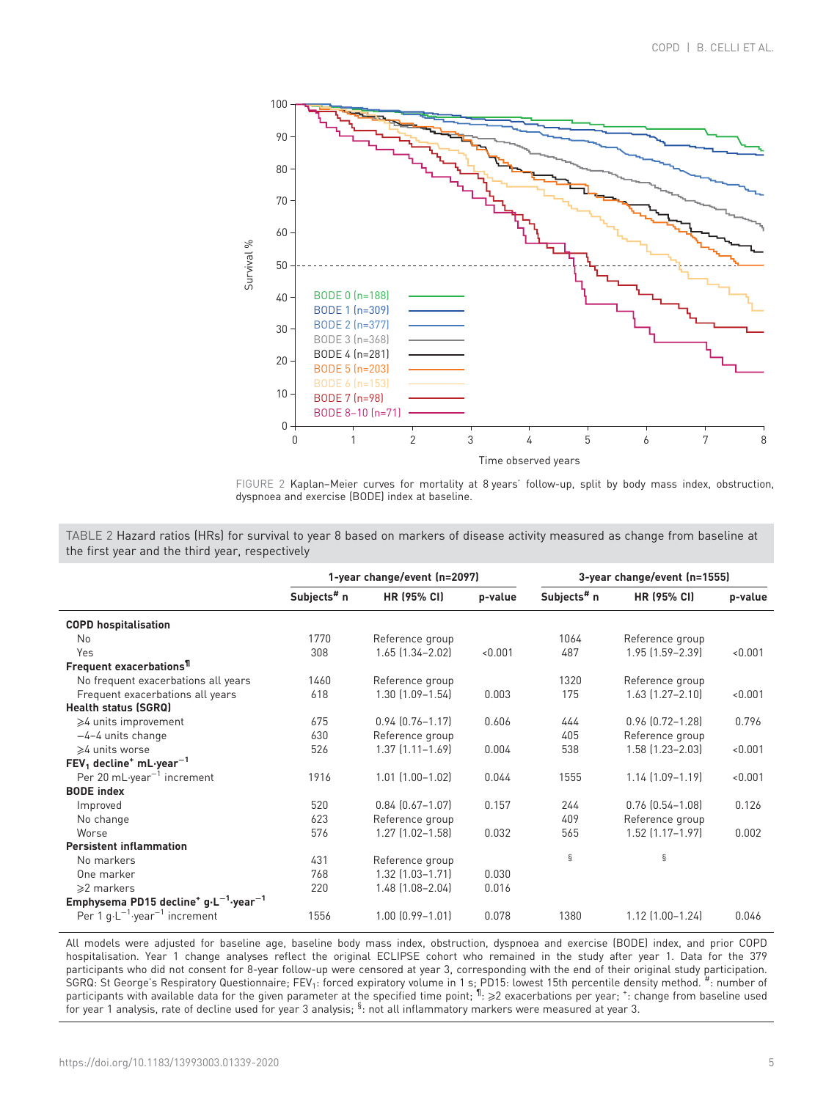<span id="page-4-0"></span>

FIGURE 2 Kaplan–Meier curves for mortality at 8 years' follow-up, split by body mass index, obstruction, dyspnoea and exercise (BODE) index at baseline.

TABLE 2 Hazard ratios (HRs) for survival to year 8 based on markers of disease activity measured as change from baseline at the first year and the third year, respectively

|                                                                          |                         | 1-year change/event (n=2097) |         | 3-year change/event (n=1555) |                        |         |  |  |
|--------------------------------------------------------------------------|-------------------------|------------------------------|---------|------------------------------|------------------------|---------|--|--|
|                                                                          | Subjects <sup>#</sup> n | <b>HR (95% CI)</b>           | p-value | Subjects <sup>#</sup> n      | HR (95% CI)            | p-value |  |  |
| <b>COPD hospitalisation</b>                                              |                         |                              |         |                              |                        |         |  |  |
| N <sub>0</sub>                                                           | 1770                    | Reference group              |         | 1064                         | Reference group        |         |  |  |
| Yes                                                                      | 308                     | $1.65$ $(1.34 - 2.02)$       | < 0.001 | 487                          | $1.95$ $(1.59 - 2.39)$ | < 0.001 |  |  |
| Frequent exacerbations <sup>11</sup>                                     |                         |                              |         |                              |                        |         |  |  |
| No frequent exacerbations all years                                      | 1460                    | Reference group              |         | 1320                         | Reference group        |         |  |  |
| Frequent exacerbations all years                                         | 618                     | $1.30$ $(1.09 - 1.54)$       | 0.003   | 175                          | $1.63$ $(1.27 - 2.10)$ | < 0.001 |  |  |
| <b>Health status (SGRQ)</b>                                              |                         |                              |         |                              |                        |         |  |  |
| ≥4 units improvement                                                     | 675                     | $0.94$ $(0.76 - 1.17)$       | 0.606   | 444                          | $0.96$ $(0.72 - 1.28)$ | 0.796   |  |  |
| $-4-4$ units change                                                      | 630                     | Reference group              |         | 405                          | Reference group        |         |  |  |
| ≽4 units worse                                                           | 526                     | $1.37$ $(1.11 - 1.69)$       | 0.004   | 538                          | $1.58$ $(1.23 - 2.03)$ | < 0.001 |  |  |
| $FEV1$ decline <sup>+</sup> mL-year <sup>-1</sup>                        |                         |                              |         |                              |                        |         |  |  |
| Per 20 mL-year <sup>-1</sup> increment                                   | 1916                    | $1.01$ $(1.00 - 1.02)$       | 0.044   | 1555                         | $1.14$ $(1.09 - 1.19)$ | < 0.001 |  |  |
| <b>BODE</b> index                                                        |                         |                              |         |                              |                        |         |  |  |
| Improved                                                                 | 520                     | $0.84$ $[0.67 - 1.07]$       | 0.157   | 244                          | $0.76$ $(0.54 - 1.08)$ | 0.126   |  |  |
| No change                                                                | 623                     | Reference group              |         | 409                          | Reference group        |         |  |  |
| Worse                                                                    | 576                     | $1.27$ $(1.02 - 1.58)$       | 0.032   | 565                          | $1.52$ $(1.17 - 1.97)$ | 0.002   |  |  |
| <b>Persistent inflammation</b>                                           |                         |                              |         |                              |                        |         |  |  |
| No markers                                                               | 431                     | Reference group              |         | §                            | ş                      |         |  |  |
| One marker                                                               | 768                     | $1.32$ $(1.03 - 1.71)$       | 0.030   |                              |                        |         |  |  |
| $\geq 2$ markers                                                         | 220                     | 1.48 (1.08-2.04)             | 0.016   |                              |                        |         |  |  |
| Emphysema PD15 decline <sup>+</sup> $g \cdot L^{-1}$ -year <sup>-1</sup> |                         |                              |         |                              |                        |         |  |  |
| Per 1 $g \cdot L^{-1}$ year <sup>-1</sup> increment                      | 1556                    | $1.00$ $(0.99 - 1.01)$       | 0.078   | 1380                         | $1.12$ $(1.00-1.24)$   | 0.046   |  |  |

All models were adjusted for baseline age, baseline body mass index, obstruction, dyspnoea and exercise (BODE) index, and prior COPD hospitalisation. Year 1 change analyses reflect the original ECLIPSE cohort who remained in the study after year 1. Data for the 379 participants who did not consent for 8-year follow-up were censored at year 3, corresponding with the end of their original study participation.<br>SGRQ: St George's Respiratory Questionnaire; FEV<sub>1</sub>: forced expiratory volum for year 1 analysis, rate of decline used for year 3 analysis; <sup>§</sup>: not all inflammatory markers were measured at year 3.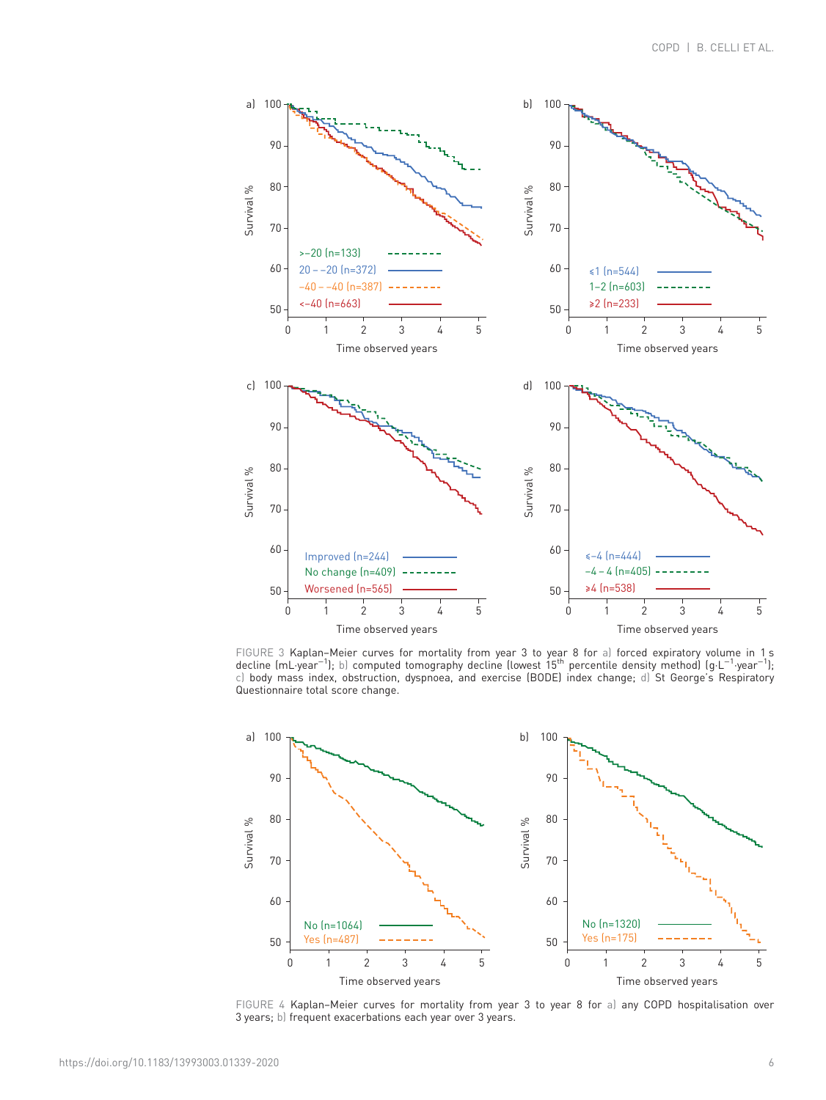<span id="page-5-0"></span>

FIGURE 3 Kaplan–Meier curves for mortality from year 3 to year 8 for a) forced expiratory volume in 1 s<br>decline (mL·year<sup>−1</sup>); b) computed tomography decline (lowest 15<sup>th</sup> percentile density method) (g·L<sup>−1</sup>·year<sup>−1</sup>); c) body mass index, obstruction, dyspnoea, and exercise (BODE) index change; d) St George's Respiratory Questionnaire total score change.



FIGURE 4 Kaplan–Meier curves for mortality from year 3 to year 8 for a) any COPD hospitalisation over 3 years; b) frequent exacerbations each year over 3 years.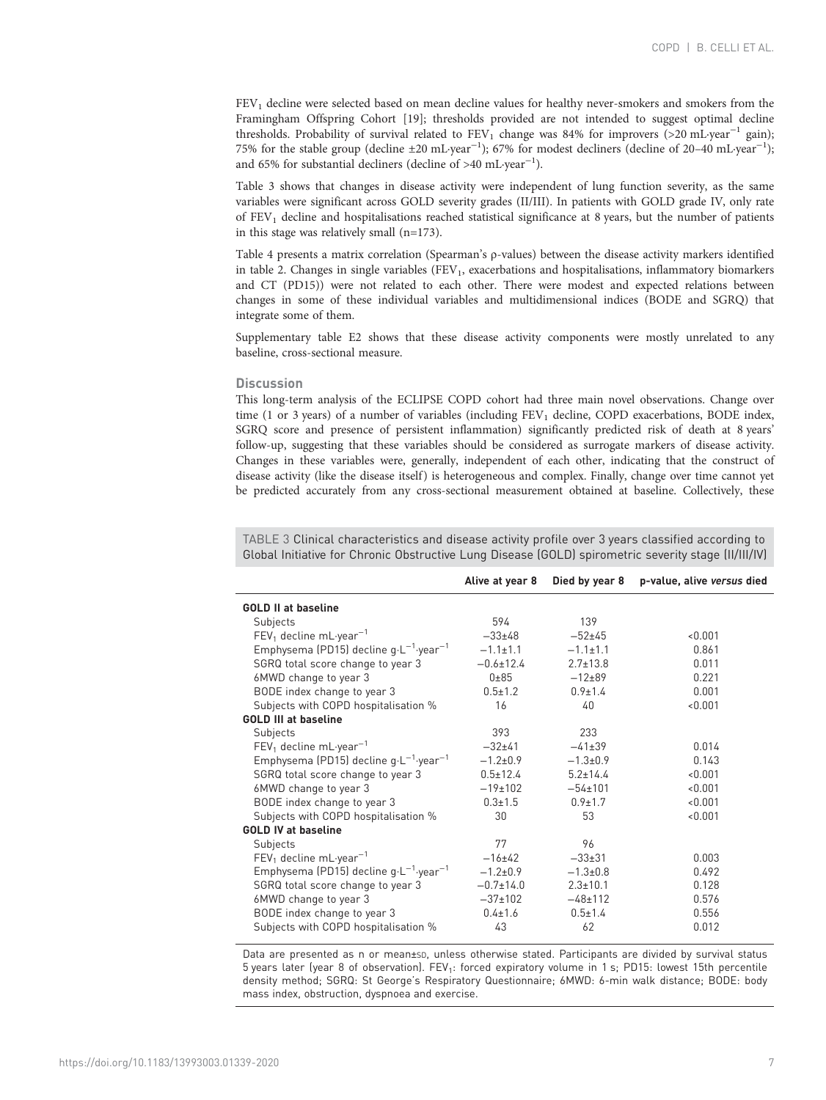FEV<sub>1</sub> decline were selected based on mean decline values for healthy never-smokers and smokers from the Framingham Offspring Cohort [[19](#page-11-0)]; thresholds provided are not intended to suggest optimal decline thresholds. Probability of survival related to FEV<sub>1</sub> change was 84% for improvers (>20 mL·year<sup>-1</sup> gain); 75% for the stable group (decline ±20 mL·year−<sup>1</sup> ); 67% for modest decliners (decline of 20–40 mL·year−<sup>1</sup> ); and 65% for substantial decliners (decline of >40 mL·year<sup>-1</sup>).

Table 3 shows that changes in disease activity were independent of lung function severity, as the same variables were significant across GOLD severity grades (II/III). In patients with GOLD grade IV, only rate of FEV1 decline and hospitalisations reached statistical significance at 8 years, but the number of patients in this stage was relatively small (n=173).

[Table 4](#page-7-0) presents a matrix correlation (Spearman's ρ-values) between the disease activity markers identified in [table 2.](#page-4-0) Changes in single variables  $(FEV<sub>1</sub>,$  exacerbations and hospitalisations, inflammatory biomarkers and CT (PD15)) were not related to each other. There were modest and expected relations between changes in some of these individual variables and multidimensional indices (BODE and SGRQ) that integrate some of them.

[Supplementary table E2](http://erj.ersjournals.com/lookup/doi/10.1183/13993003.01339-2020.figures-only#fig-data-supplementary-materials) shows that these disease activity components were mostly unrelated to any baseline, cross-sectional measure.

#### **Discussion**

This long-term analysis of the ECLIPSE COPD cohort had three main novel observations. Change over time (1 or 3 years) of a number of variables (including  $FEV<sub>1</sub>$  decline, COPD exacerbations, BODE index, SGRQ score and presence of persistent inflammation) significantly predicted risk of death at 8 years' follow-up, suggesting that these variables should be considered as surrogate markers of disease activity. Changes in these variables were, generally, independent of each other, indicating that the construct of disease activity (like the disease itself) is heterogeneous and complex. Finally, change over time cannot yet be predicted accurately from any cross-sectional measurement obtained at baseline. Collectively, these

TABLE 3 Clinical characteristics and disease activity profile over 3 years classified according to Global Initiative for Chronic Obstructive Lung Disease (GOLD) spirometric severity stage (II/III/IV)

|                                                              | Alive at year 8 | Died by year 8 | p-value, alive versus died |
|--------------------------------------------------------------|-----------------|----------------|----------------------------|
| <b>GOLD II at baseline</b>                                   |                 |                |                            |
| Subjects                                                     | 594             | 139            |                            |
| $FEV_1$ decline mL-year <sup>-1</sup>                        | $-33+48$        | $-52+45$       | < 0.001                    |
| Emphysema (PD15) decline $g \cdot L^{-1}$ year <sup>-1</sup> | $-1.1 \pm 1.1$  | $-1.1 \pm 1.1$ | 0.861                      |
| SGRQ total score change to year 3                            | $-0.6 \pm 12.4$ | $2.7 \pm 13.8$ | 0.011                      |
| 6MWD change to year 3                                        | $0\pm85$        | $-12+89$       | 0.221                      |
| BODE index change to year 3                                  | $0.5 \pm 1.2$   | $0.9 \pm 1.4$  | 0.001                      |
| Subjects with COPD hospitalisation %                         | 16              | 40             | < 0.001                    |
| <b>GOLD III at baseline</b>                                  |                 |                |                            |
| Subjects                                                     | 393             | 233            |                            |
| $FEV1$ decline mL-year <sup>-1</sup>                         | $-32+41$        | $-41\pm39$     | 0.014                      |
| Emphysema (PD15) decline $g \cdot L^{-1}$ year <sup>-1</sup> | $-1.2 + 0.9$    | $-1.3 \pm 0.9$ | 0.143                      |
| SGRQ total score change to year 3                            | $0.5 \pm 12.4$  | $5.2 \pm 14.4$ | < 0.001                    |
| 6MWD change to year 3                                        | $-19±102$       | $-54 \pm 101$  | < 0.001                    |
| BODE index change to year 3                                  | $0.3 \pm 1.5$   | $0.9 \pm 1.7$  | < 0.001                    |
| Subjects with COPD hospitalisation %                         | 30              | 53             | < 0.001                    |
| <b>GOLD IV at baseline</b>                                   |                 |                |                            |
| Subjects                                                     | 77              | 96             |                            |
| $FEV1$ decline mL-year <sup>-1</sup>                         | $-16+42$        | $-33\pm31$     | 0.003                      |
| Emphysema (PD15) decline $g \cdot L^{-1}$ year <sup>-1</sup> | $-1.2 + 0.9$    | $-1.3 \pm 0.8$ | 0.492                      |
| SGRQ total score change to year 3                            | $-0.7 + 14.0$   | $2.3 \pm 10.1$ | 0.128                      |
| 6MWD change to year 3                                        | $-37+102$       | $-48+112$      | 0.576                      |
| BODE index change to year 3                                  | $0.4 \pm 1.6$   | $0.5 \pm 1.4$  | 0.556                      |
| Subjects with COPD hospitalisation %                         | 43              | 62             | 0.012                      |
|                                                              |                 |                |                            |

Data are presented as n or mean±sp, unless otherwise stated. Participants are divided by survival status 5 years later (year 8 of observation). FEV<sub>1</sub>: forced expiratory volume in 1 s; PD15: lowest 15th percentile density method; SGRQ: St George's Respiratory Questionnaire; 6MWD: 6-min walk distance; BODE: body mass index, obstruction, dyspnoea and exercise.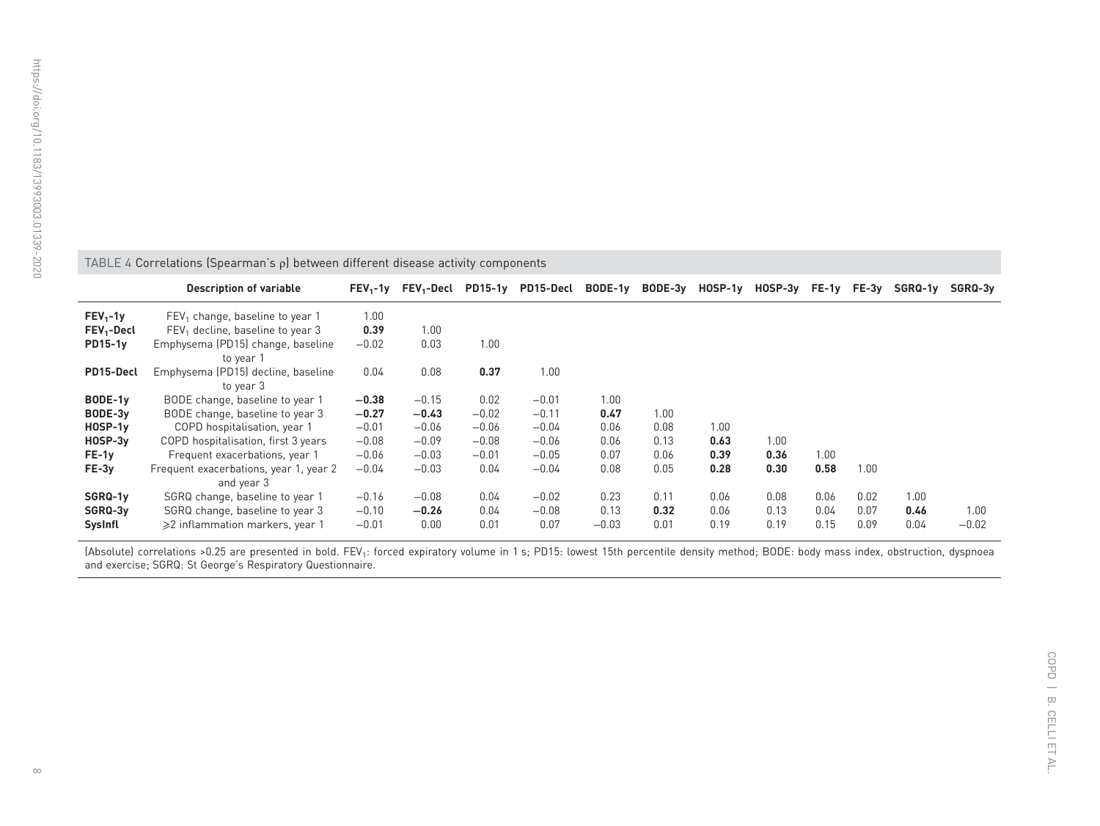<span id="page-7-0"></span>

| ×                                 |
|-----------------------------------|
| j                                 |
| ī<br>Í                            |
|                                   |
| j<br>I                            |
| ٠                                 |
|                                   |
|                                   |
|                                   |
| ţ<br>Í                            |
|                                   |
| I<br>١                            |
|                                   |
| ×                                 |
| ¢<br>Ì                            |
|                                   |
| į                                 |
| $\overline{\mathbf{C}}$<br>ś<br>Í |
|                                   |
|                                   |
| ۵                                 |
|                                   |
| I<br>j                            |
| ×.                                |
|                                   |
|                                   |
|                                   |
|                                   |
|                                   |
| j                                 |
|                                   |
| ţ                                 |
|                                   |
|                                   |
|                                   |
| Í<br>j                            |
|                                   |
|                                   |
|                                   |
|                                   |
|                                   |
| ţ<br>j                            |
| J<br>I                            |
|                                   |
| J<br>I                            |
|                                   |
| ţ<br>Ć                            |
| i                                 |
| J                                 |
|                                   |
|                                   |
|                                   |
| Ć<br>$\overline{\mathbf{C}}$      |
| ţ<br>J                            |
|                                   |
| J<br>j                            |
| Ï                                 |
|                                   |
| I<br>j                            |
|                                   |
| j                                 |
|                                   |
| I<br>J                            |
| I<br>C                            |

| TABLE 4 Correlations (Spearman's $\rho$ ) between different disease activity components |                                                 |            |              |                |           |         |         |           |         |       |       |         |         |
|-----------------------------------------------------------------------------------------|-------------------------------------------------|------------|--------------|----------------|-----------|---------|---------|-----------|---------|-------|-------|---------|---------|
|                                                                                         | <b>Description of variable</b>                  | $FEV_1-1V$ | $FEV_1-Decl$ | <b>PD15-1y</b> | PD15-Decl | BODE-1y | BODE-3y | $HOSP-1y$ | HOSP-3y | FE-1y | FE-3y | SGRQ-1y | SGRQ-3v |
| $FEV1-1v$                                                                               | $FEV1$ change, baseline to year 1               | 1.00       |              |                |           |         |         |           |         |       |       |         |         |
| FEV <sub>1</sub> -Decl                                                                  | $FEV1$ decline, baseline to year 3              | 0.39       | 1.00         |                |           |         |         |           |         |       |       |         |         |
| $PD15-1y$                                                                               | Emphysema (PD15) change, baseline<br>to year 1  | $-0.02$    | 0.03         | 1.00           |           |         |         |           |         |       |       |         |         |
| PD15-Decl                                                                               | Emphysema (PD15) decline, baseline<br>to year 3 | 0.04       | 0.08         | 0.37           | 1.00      |         |         |           |         |       |       |         |         |
| BODE-1y                                                                                 | BODE change, baseline to year 1                 | $-0.38$    | $-0.15$      | 0.02           | $-0.01$   | 1.00    |         |           |         |       |       |         |         |
| BODE-3y                                                                                 | BODE change, baseline to year 3                 | $-0.27$    | $-0.43$      | $-0.02$        | $-0.11$   | 0.47    | 1.00    |           |         |       |       |         |         |
| $HOSP-1y$                                                                               | COPD hospitalisation, year 1                    | $-0.01$    | $-0.06$      | $-0.06$        | $-0.04$   | 0.06    | 0.08    | 1.00      |         |       |       |         |         |
| $HOSP-3y$                                                                               | COPD hospitalisation, first 3 years             | $-0.08$    | $-0.09$      | $-0.08$        | $-0.06$   | 0.06    | 0.13    | 0.63      | 1.00    |       |       |         |         |
| FE-1y                                                                                   | Frequent exacerbations, year 1                  | $-0.06$    | $-0.03$      | $-0.01$        | $-0.05$   | 0.07    | 0.06    | 0.39      | 0.36    | 1.00  |       |         |         |
| FE-3y                                                                                   | Frequent exacerbations, year 1, year 2          | $-0.04$    | $-0.03$      | 0.04           | $-0.04$   | 0.08    | 0.05    | 0.28      | 0.30    | 0.58  | 1.00  |         |         |
|                                                                                         | and year 3                                      |            |              |                |           |         |         |           |         |       |       |         |         |
| SGRQ-1y                                                                                 | SGRQ change, baseline to year 1                 | $-0.16$    | $-0.08$      | 0.04           | $-0.02$   | 0.23    | 0.11    | 0.06      | 0.08    | 0.06  | 0.02  | 1.00    |         |
| SGRQ-3y                                                                                 | SGRQ change, baseline to year 3                 | $-0.10$    | $-0.26$      | 0.04           | $-0.08$   | 0.13    | 0.32    | 0.06      | 0.13    | 0.04  | 0.07  | 0.46    | 1.00    |
| SysInfl                                                                                 | $\geqslant$ inflammation markers, year 1        | $-0.01$    | 0.00         | 0.01           | 0.07      | $-0.03$ | 0.01    | 0.19      | 0.19    | 0.15  | 0.09  | 0.04    | $-0.02$ |

(Absolute) correlations >0.25 are presented in bold. FEV<sub>1</sub>: forced expiratory volume in 1 s; PD15: lowest 15th percentile density method; BODE: body mass index, obstruction, dyspnoea and exercise; SGRQ: St George'<sup>s</sup> Respiratory Questionnaire.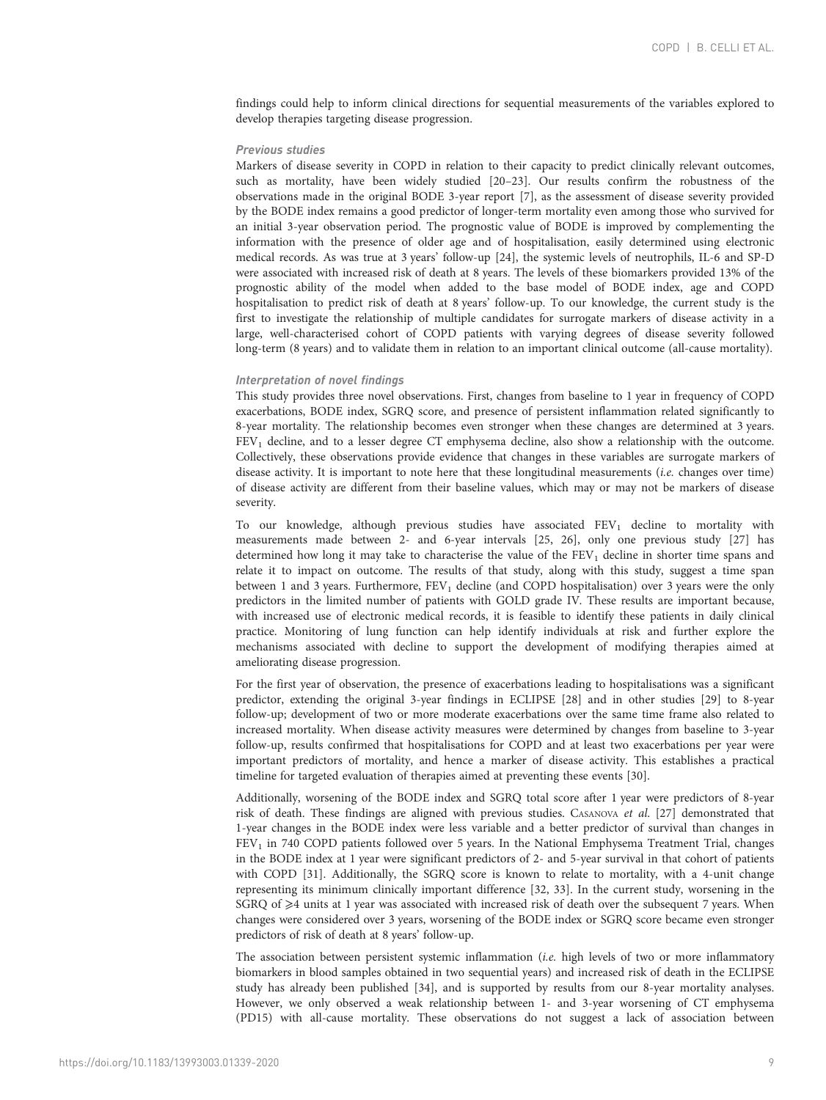findings could help to inform clinical directions for sequential measurements of the variables explored to develop therapies targeting disease progression.

# Previous studies

Markers of disease severity in COPD in relation to their capacity to predict clinically relevant outcomes, such as mortality, have been widely studied [[20](#page-11-0)–[23\]](#page-11-0). Our results confirm the robustness of the observations made in the original BODE 3-year report [[7](#page-10-0)], as the assessment of disease severity provided by the BODE index remains a good predictor of longer-term mortality even among those who survived for an initial 3-year observation period. The prognostic value of BODE is improved by complementing the information with the presence of older age and of hospitalisation, easily determined using electronic medical records. As was true at 3 years' follow-up [\[24\]](#page-11-0), the systemic levels of neutrophils, IL-6 and SP-D were associated with increased risk of death at 8 years. The levels of these biomarkers provided 13% of the prognostic ability of the model when added to the base model of BODE index, age and COPD hospitalisation to predict risk of death at 8 years' follow-up. To our knowledge, the current study is the first to investigate the relationship of multiple candidates for surrogate markers of disease activity in a large, well-characterised cohort of COPD patients with varying degrees of disease severity followed long-term (8 years) and to validate them in relation to an important clinical outcome (all-cause mortality).

# Interpretation of novel findings

This study provides three novel observations. First, changes from baseline to 1 year in frequency of COPD exacerbations, BODE index, SGRQ score, and presence of persistent inflammation related significantly to 8-year mortality. The relationship becomes even stronger when these changes are determined at 3 years. FEV1 decline, and to a lesser degree CT emphysema decline, also show a relationship with the outcome. Collectively, these observations provide evidence that changes in these variables are surrogate markers of disease activity. It is important to note here that these longitudinal measurements (i.e. changes over time) of disease activity are different from their baseline values, which may or may not be markers of disease severity.

To our knowledge, although previous studies have associated  $FEV<sub>1</sub>$  decline to mortality with measurements made between 2- and 6-year intervals [\[25, 26](#page-11-0)], only one previous study [[27\]](#page-11-0) has determined how long it may take to characterise the value of the  $FEV<sub>1</sub>$  decline in shorter time spans and relate it to impact on outcome. The results of that study, along with this study, suggest a time span between 1 and 3 years. Furthermore,  $FEV<sub>1</sub>$  decline (and COPD hospitalisation) over 3 years were the only predictors in the limited number of patients with GOLD grade IV. These results are important because, with increased use of electronic medical records, it is feasible to identify these patients in daily clinical practice. Monitoring of lung function can help identify individuals at risk and further explore the mechanisms associated with decline to support the development of modifying therapies aimed at ameliorating disease progression.

For the first year of observation, the presence of exacerbations leading to hospitalisations was a significant predictor, extending the original 3-year findings in ECLIPSE [\[28\]](#page-11-0) and in other studies [[29](#page-11-0)] to 8-year follow-up; development of two or more moderate exacerbations over the same time frame also related to increased mortality. When disease activity measures were determined by changes from baseline to 3-year follow-up, results confirmed that hospitalisations for COPD and at least two exacerbations per year were important predictors of mortality, and hence a marker of disease activity. This establishes a practical timeline for targeted evaluation of therapies aimed at preventing these events [\[30\]](#page-11-0).

Additionally, worsening of the BODE index and SGRQ total score after 1 year were predictors of 8-year risk of death. These findings are aligned with previous studies. CASANOVA et al. [[27\]](#page-11-0) demonstrated that 1-year changes in the BODE index were less variable and a better predictor of survival than changes in FEV1 in 740 COPD patients followed over 5 years. In the National Emphysema Treatment Trial, changes in the BODE index at 1 year were significant predictors of 2- and 5-year survival in that cohort of patients with COPD [\[31](#page-11-0)]. Additionally, the SGRQ score is known to relate to mortality, with a 4-unit change representing its minimum clinically important difference [\[32](#page-11-0), [33](#page-11-0)]. In the current study, worsening in the SGRQ of  $\geq 4$  units at 1 year was associated with increased risk of death over the subsequent 7 years. When changes were considered over 3 years, worsening of the BODE index or SGRQ score became even stronger predictors of risk of death at 8 years' follow-up.

The association between persistent systemic inflammation (i.e. high levels of two or more inflammatory biomarkers in blood samples obtained in two sequential years) and increased risk of death in the ECLIPSE study has already been published [[34](#page-11-0)], and is supported by results from our 8-year mortality analyses. However, we only observed a weak relationship between 1- and 3-year worsening of CT emphysema (PD15) with all-cause mortality. These observations do not suggest a lack of association between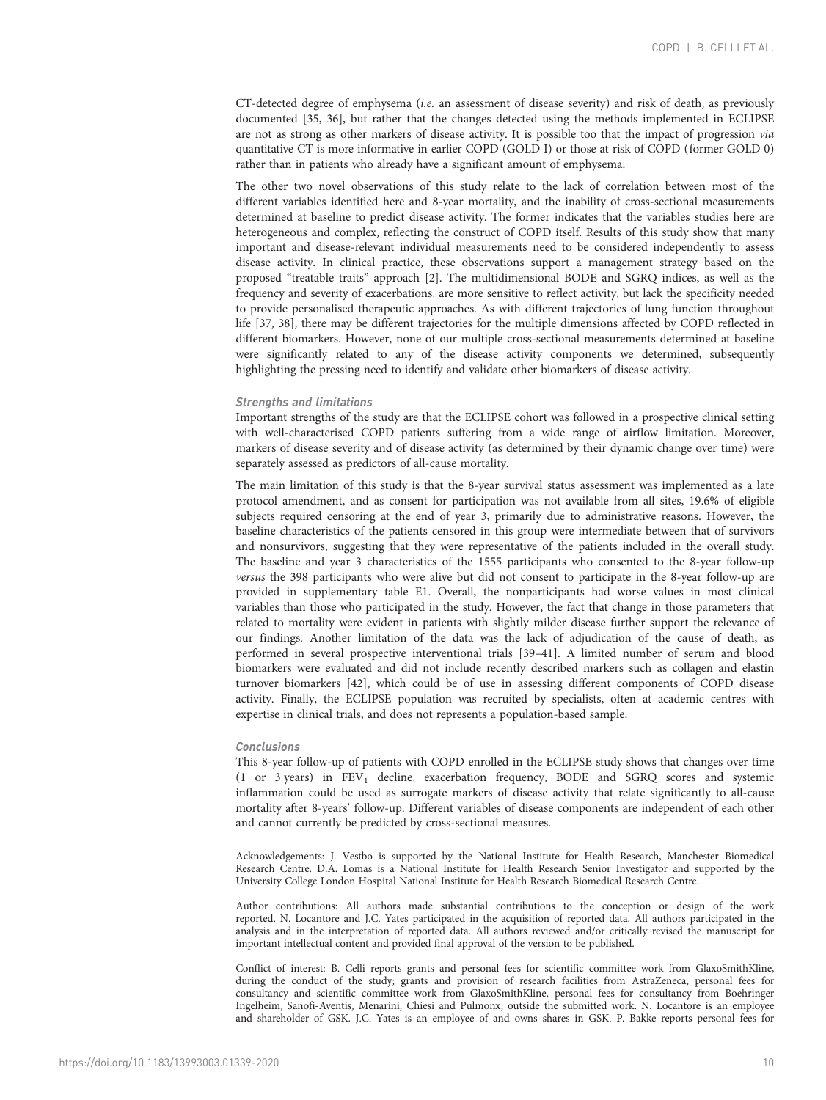CT-detected degree of emphysema (i.e. an assessment of disease severity) and risk of death, as previously documented [\[35](#page-11-0), [36](#page-11-0)], but rather that the changes detected using the methods implemented in ECLIPSE are not as strong as other markers of disease activity. It is possible too that the impact of progression via quantitative CT is more informative in earlier COPD (GOLD I) or those at risk of COPD (former GOLD 0) rather than in patients who already have a significant amount of emphysema.

The other two novel observations of this study relate to the lack of correlation between most of the different variables identified here and 8-year mortality, and the inability of cross-sectional measurements determined at baseline to predict disease activity. The former indicates that the variables studies here are heterogeneous and complex, reflecting the construct of COPD itself. Results of this study show that many important and disease-relevant individual measurements need to be considered independently to assess disease activity. In clinical practice, these observations support a management strategy based on the proposed "treatable traits" approach [\[2\]](#page-10-0). The multidimensional BODE and SGRQ indices, as well as the frequency and severity of exacerbations, are more sensitive to reflect activity, but lack the specificity needed to provide personalised therapeutic approaches. As with different trajectories of lung function throughout life [\[37, 38](#page-11-0)], there may be different trajectories for the multiple dimensions affected by COPD reflected in different biomarkers. However, none of our multiple cross-sectional measurements determined at baseline were significantly related to any of the disease activity components we determined, subsequently highlighting the pressing need to identify and validate other biomarkers of disease activity.

#### Strengths and limitations

Important strengths of the study are that the ECLIPSE cohort was followed in a prospective clinical setting with well-characterised COPD patients suffering from a wide range of airflow limitation. Moreover, markers of disease severity and of disease activity (as determined by their dynamic change over time) were separately assessed as predictors of all-cause mortality.

The main limitation of this study is that the 8-year survival status assessment was implemented as a late protocol amendment, and as consent for participation was not available from all sites, 19.6% of eligible subjects required censoring at the end of year 3, primarily due to administrative reasons. However, the baseline characteristics of the patients censored in this group were intermediate between that of survivors and nonsurvivors, suggesting that they were representative of the patients included in the overall study. The baseline and year 3 characteristics of the 1555 participants who consented to the 8-year follow-up versus the 398 participants who were alive but did not consent to participate in the 8-year follow-up are provided in [supplementary table E1.](http://erj.ersjournals.com/lookup/doi/10.1183/13993003.01339-2020.figures-only#fig-data-supplementary-materials) Overall, the nonparticipants had worse values in most clinical variables than those who participated in the study. However, the fact that change in those parameters that related to mortality were evident in patients with slightly milder disease further support the relevance of our findings. Another limitation of the data was the lack of adjudication of the cause of death, as performed in several prospective interventional trials [\[39](#page-11-0)–[41](#page-11-0)]. A limited number of serum and blood biomarkers were evaluated and did not include recently described markers such as collagen and elastin turnover biomarkers [\[42\]](#page-11-0), which could be of use in assessing different components of COPD disease activity. Finally, the ECLIPSE population was recruited by specialists, often at academic centres with expertise in clinical trials, and does not represents a population-based sample.

#### Conclusions

This 8-year follow-up of patients with COPD enrolled in the ECLIPSE study shows that changes over time (1 or 3 years) in FEV1 decline, exacerbation frequency, BODE and SGRQ scores and systemic inflammation could be used as surrogate markers of disease activity that relate significantly to all-cause mortality after 8-years' follow-up. Different variables of disease components are independent of each other and cannot currently be predicted by cross-sectional measures.

Acknowledgements: J. Vestbo is supported by the National Institute for Health Research, Manchester Biomedical Research Centre. D.A. Lomas is a National Institute for Health Research Senior Investigator and supported by the University College London Hospital National Institute for Health Research Biomedical Research Centre.

Author contributions: All authors made substantial contributions to the conception or design of the work reported. N. Locantore and J.C. Yates participated in the acquisition of reported data. All authors participated in the analysis and in the interpretation of reported data. All authors reviewed and/or critically revised the manuscript for important intellectual content and provided final approval of the version to be published.

Conflict of interest: B. Celli reports grants and personal fees for scientific committee work from GlaxoSmithKline, during the conduct of the study; grants and provision of research facilities from AstraZeneca, personal fees for consultancy and scientific committee work from GlaxoSmithKline, personal fees for consultancy from Boehringer Ingelheim, Sanofi-Aventis, Menarini, Chiesi and Pulmonx, outside the submitted work. N. Locantore is an employee and shareholder of GSK. J.C. Yates is an employee of and owns shares in GSK. P. Bakke reports personal fees for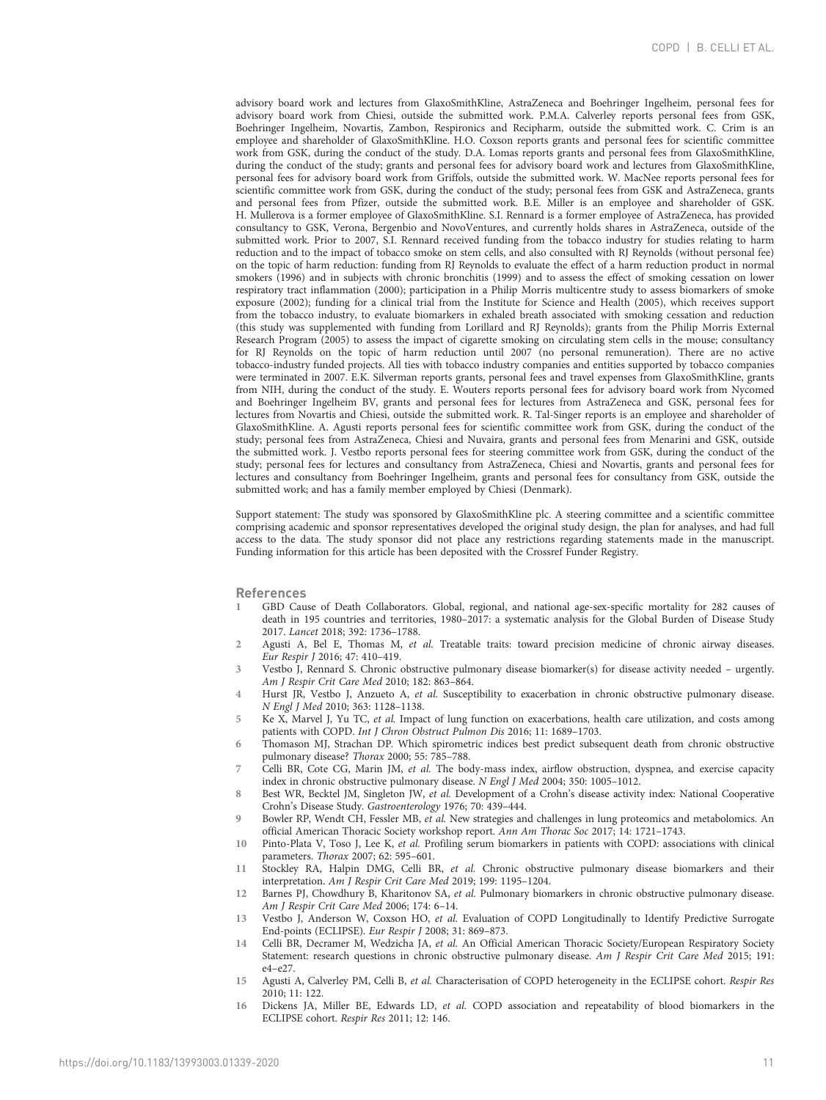<span id="page-10-0"></span>advisory board work and lectures from GlaxoSmithKline, AstraZeneca and Boehringer Ingelheim, personal fees for advisory board work from Chiesi, outside the submitted work. P.M.A. Calverley reports personal fees from GSK, Boehringer Ingelheim, Novartis, Zambon, Respironics and Recipharm, outside the submitted work. C. Crim is an employee and shareholder of GlaxoSmithKline. H.O. Coxson reports grants and personal fees for scientific committee work from GSK, during the conduct of the study. D.A. Lomas reports grants and personal fees from GlaxoSmithKline, during the conduct of the study; grants and personal fees for advisory board work and lectures from GlaxoSmithKline, personal fees for advisory board work from Griffols, outside the submitted work. W. MacNee reports personal fees for scientific committee work from GSK, during the conduct of the study; personal fees from GSK and AstraZeneca, grants and personal fees from Pfizer, outside the submitted work. B.E. Miller is an employee and shareholder of GSK. H. Mullerova is a former employee of GlaxoSmithKline. S.I. Rennard is a former employee of AstraZeneca, has provided consultancy to GSK, Verona, Bergenbio and NovoVentures, and currently holds shares in AstraZeneca, outside of the submitted work. Prior to 2007, S.I. Rennard received funding from the tobacco industry for studies relating to harm reduction and to the impact of tobacco smoke on stem cells, and also consulted with RJ Reynolds (without personal fee) on the topic of harm reduction: funding from RJ Reynolds to evaluate the effect of a harm reduction product in normal smokers (1996) and in subjects with chronic bronchitis (1999) and to assess the effect of smoking cessation on lower respiratory tract inflammation (2000); participation in a Philip Morris multicentre study to assess biomarkers of smoke exposure (2002); funding for a clinical trial from the Institute for Science and Health (2005), which receives support from the tobacco industry, to evaluate biomarkers in exhaled breath associated with smoking cessation and reduction (this study was supplemented with funding from Lorillard and RJ Reynolds); grants from the Philip Morris External Research Program (2005) to assess the impact of cigarette smoking on circulating stem cells in the mouse; consultancy for RJ Reynolds on the topic of harm reduction until 2007 (no personal remuneration). There are no active tobacco-industry funded projects. All ties with tobacco industry companies and entities supported by tobacco companies were terminated in 2007. E.K. Silverman reports grants, personal fees and travel expenses from GlaxoSmithKline, grants from NIH, during the conduct of the study. E. Wouters reports personal fees for advisory board work from Nycomed and Boehringer Ingelheim BV, grants and personal fees for lectures from AstraZeneca and GSK, personal fees for lectures from Novartis and Chiesi, outside the submitted work. R. Tal-Singer reports is an employee and shareholder of GlaxoSmithKline. A. Agusti reports personal fees for scientific committee work from GSK, during the conduct of the study; personal fees from AstraZeneca, Chiesi and Nuvaira, grants and personal fees from Menarini and GSK, outside the submitted work. J. Vestbo reports personal fees for steering committee work from GSK, during the conduct of the study; personal fees for lectures and consultancy from AstraZeneca, Chiesi and Novartis, grants and personal fees for lectures and consultancy from Boehringer Ingelheim, grants and personal fees for consultancy from GSK, outside the submitted work; and has a family member employed by Chiesi (Denmark).

Support statement: The study was sponsored by GlaxoSmithKline plc. A steering committee and a scientific committee comprising academic and sponsor representatives developed the original study design, the plan for analyses, and had full access to the data. The study sponsor did not place any restrictions regarding statements made in the manuscript. Funding information for this article has been deposited with the [Crossref Funder Registry.](https://www.crossref.org/services/funder-registry/)

## References

- 1 GBD Cause of Death Collaborators. Global, regional, and national age-sex-specific mortality for 282 causes of death in 195 countries and territories, 1980–2017: a systematic analysis for the Global Burden of Disease Study 2017. Lancet 2018; 392: 1736–1788.
- 2 Agusti A, Bel E, Thomas M, et al. Treatable traits: toward precision medicine of chronic airway diseases. Eur Respir J 2016; 47: 410–419.
- 3 Vestbo J, Rennard S. Chronic obstructive pulmonary disease biomarker(s) for disease activity needed urgently. Am J Respir Crit Care Med 2010; 182: 863–864.
- 4 Hurst JR, Vestbo J, Anzueto A, et al. Susceptibility to exacerbation in chronic obstructive pulmonary disease. N Engl J Med 2010; 363: 1128–1138.
- 5 Ke X, Marvel J, Yu TC, et al. Impact of lung function on exacerbations, health care utilization, and costs among patients with COPD. Int J Chron Obstruct Pulmon Dis 2016; 11: 1689–1703.
- 6 Thomason MJ, Strachan DP. Which spirometric indices best predict subsequent death from chronic obstructive pulmonary disease? Thorax 2000; 55: 785–788.
- 7 Celli BR, Cote CG, Marin JM, et al. The body-mass index, airflow obstruction, dyspnea, and exercise capacity index in chronic obstructive pulmonary disease. N Engl J Med 2004; 350: 1005–1012.
- 8 Best WR, Becktel JM, Singleton JW, et al. Development of a Crohn's disease activity index: National Cooperative Crohn's Disease Study. Gastroenterology 1976; 70: 439–444.
- 9 Bowler RP, Wendt CH, Fessler MB, et al. New strategies and challenges in lung proteomics and metabolomics. An official American Thoracic Society workshop report. Ann Am Thorac Soc 2017; 14: 1721–1743.
- 10 Pinto-Plata V, Toso J, Lee K, et al. Profiling serum biomarkers in patients with COPD: associations with clinical parameters. Thorax 2007; 62: 595–601.
- 11 Stockley RA, Halpin DMG, Celli BR, et al. Chronic obstructive pulmonary disease biomarkers and their interpretation. Am J Respir Crit Care Med 2019; 199: 1195–1204.
- 12 Barnes PJ, Chowdhury B, Kharitonov SA, et al. Pulmonary biomarkers in chronic obstructive pulmonary disease. Am J Respir Crit Care Med 2006; 174: 6–14.
- 13 Vestbo J, Anderson W, Coxson HO, et al. Evaluation of COPD Longitudinally to Identify Predictive Surrogate End-points (ECLIPSE). Eur Respir J 2008; 31: 869–873.
- 14 Celli BR, Decramer M, Wedzicha JA, et al. An Official American Thoracic Society/European Respiratory Society Statement: research questions in chronic obstructive pulmonary disease. Am J Respir Crit Care Med 2015; 191: e4–e27.
- 15 Agusti A, Calverley PM, Celli B, et al. Characterisation of COPD heterogeneity in the ECLIPSE cohort. Respir Res 2010; 11: 122.
- 16 Dickens JA, Miller BE, Edwards LD, et al. COPD association and repeatability of blood biomarkers in the ECLIPSE cohort. Respir Res 2011; 12: 146.